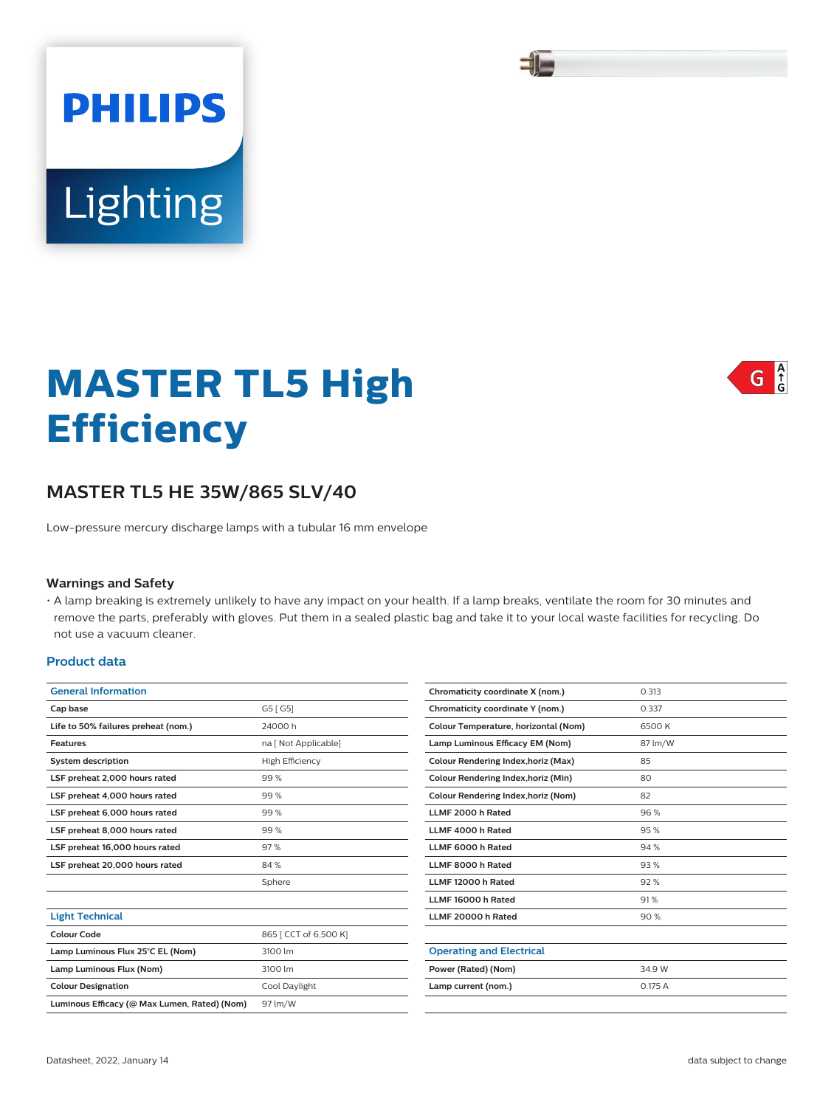# **MASTER TL5 High Efficiency**

## **MASTER TL5 HE 35W/865 SLV/40**

Low-pressure mercury discharge lamps with a tubular 16 mm envelope

#### **Warnings and Safety**

Lighting

**PHILIPS** 

• A lamp breaking is extremely unlikely to have any impact on your health. If a lamp breaks, ventilate the room for 30 minutes and remove the parts, preferably with gloves. Put them in a sealed plastic bag and take it to your local waste facilities for recycling. Do not use a vacuum cleaner.

## **Product data**

| <b>General Information</b>                   |                        |  |  |
|----------------------------------------------|------------------------|--|--|
| Cap base                                     | G5 [ G5]               |  |  |
| Life to 50% failures preheat (nom.)          | 24000 h                |  |  |
| Features                                     | na [ Not Applicable]   |  |  |
| <b>System description</b>                    | <b>High Efficiency</b> |  |  |
| LSF preheat 2,000 hours rated                | 99%                    |  |  |
| LSF preheat 4,000 hours rated                | 99%                    |  |  |
| LSF preheat 6,000 hours rated                | 99%                    |  |  |
| LSF preheat 8,000 hours rated                | 99%                    |  |  |
| LSF preheat 16,000 hours rated               | 97%                    |  |  |
| LSF preheat 20,000 hours rated               | 84%                    |  |  |
|                                              | Sphere                 |  |  |
|                                              |                        |  |  |
| <b>Light Technical</b>                       |                        |  |  |
| Colour Code                                  | 865   CCT of 6,500 K]  |  |  |
| Lamp Luminous Flux 25°C EL (Nom)             | 3100 lm                |  |  |
| Lamp Luminous Flux (Nom)                     | 3100 lm                |  |  |
| <b>Colour Designation</b>                    | Cool Daylight          |  |  |
| Luminous Efficacy (@ Max Lumen, Rated) (Nom) | 97 lm/W                |  |  |
|                                              |                        |  |  |

| Chromaticity coordinate X (nom.)           | 0.313   |
|--------------------------------------------|---------|
| Chromaticity coordinate Y (nom.)           | 0.337   |
| Colour Temperature, horizontal (Nom)       | 6500 K  |
| Lamp Luminous Efficacy EM (Nom)            | 87 lm/W |
| Colour Rendering Index, horiz (Max)        | 85      |
| Colour Rendering Index, horiz (Min)        | 80      |
| <b>Colour Rendering Index, horiz (Nom)</b> | 82      |
| LLMF 2000 h Rated                          | 96%     |
| LLMF 4000 h Rated                          | 95%     |
| LLMF 6000 h Rated                          | 94%     |
| LLMF 8000 h Rated                          | 93%     |
| LLMF 12000 h Rated                         | 92%     |
| LLMF 16000 h Rated                         | 91%     |
| LLMF 20000 h Rated                         | 90%     |
|                                            |         |
| <b>Operating and Electrical</b>            |         |
| Power (Rated) (Nom)                        | 34.9 W  |
| Lamp current (nom.)                        | 0.175A  |
|                                            |         |

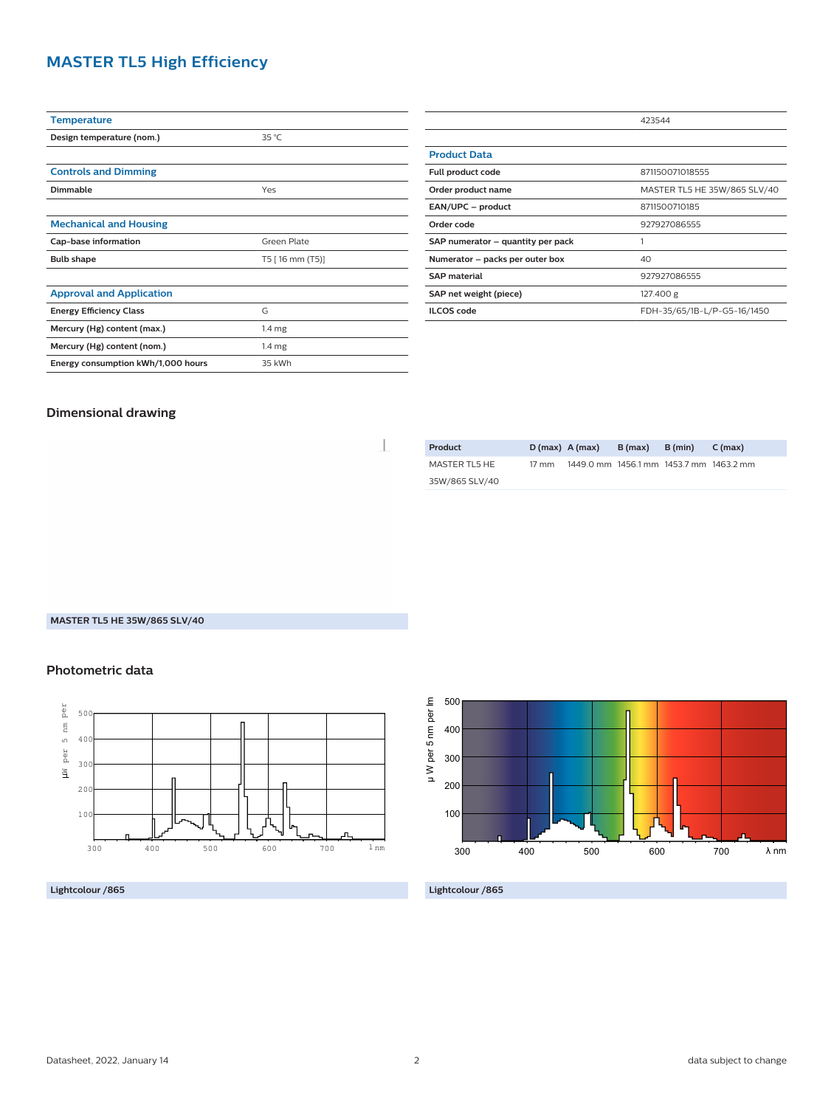## **MASTER TL5 High Efficiency**

| <b>Temperature</b>                 |                   |  |  |
|------------------------------------|-------------------|--|--|
| Design temperature (nom.)          | $35^{\circ}$ C    |  |  |
|                                    |                   |  |  |
| <b>Controls and Dimming</b>        |                   |  |  |
| Dimmable                           | Yes               |  |  |
|                                    |                   |  |  |
| <b>Mechanical and Housing</b>      |                   |  |  |
| Cap-base information               | Green Plate       |  |  |
| <b>Bulb shape</b>                  | T5 [16 mm (T5)]   |  |  |
|                                    |                   |  |  |
| <b>Approval and Application</b>    |                   |  |  |
| <b>Energy Efficiency Class</b>     | G                 |  |  |
| Mercury (Hg) content (max.)        | 1.4 <sub>mg</sub> |  |  |
| Mercury (Hg) content (nom.)        | 1.4 <sub>mg</sub> |  |  |
| Energy consumption kWh/1,000 hours | 35 kWh            |  |  |
|                                    |                   |  |  |

|                                   | 423544                       |  |  |
|-----------------------------------|------------------------------|--|--|
|                                   |                              |  |  |
| <b>Product Data</b>               |                              |  |  |
| Full product code                 | 871150071018555              |  |  |
| Order product name                | MASTER TL5 HE 35W/865 SLV/40 |  |  |
| EAN/UPC - product                 | 8711500710185                |  |  |
| Order code                        | 927927086555                 |  |  |
| SAP numerator - quantity per pack |                              |  |  |
| Numerator - packs per outer box   | 40                           |  |  |
| <b>SAP material</b>               | 927927086555                 |  |  |
| SAP net weight (piece)            | 127.400 g                    |  |  |
| <b>ILCOS</b> code                 | FDH-35/65/1B-L/P-G5-16/1450  |  |  |

## **Dimensional drawing**

| Product        | $D(max)$ A (max) |                                         | B (max) | B (min) | C (max) |
|----------------|------------------|-----------------------------------------|---------|---------|---------|
| MASTER TL5 HE  | 17 mm            | 1449.0 mm 1456.1 mm 1453.7 mm 1463.2 mm |         |         |         |
| 35W/865 SLV/40 |                  |                                         |         |         |         |
|                |                  |                                         |         |         |         |

**MASTER TL5 HE 35W/865 SLV/40**

## **Photometric data**



**Lightcolour /865**



**Lightcolour /865**